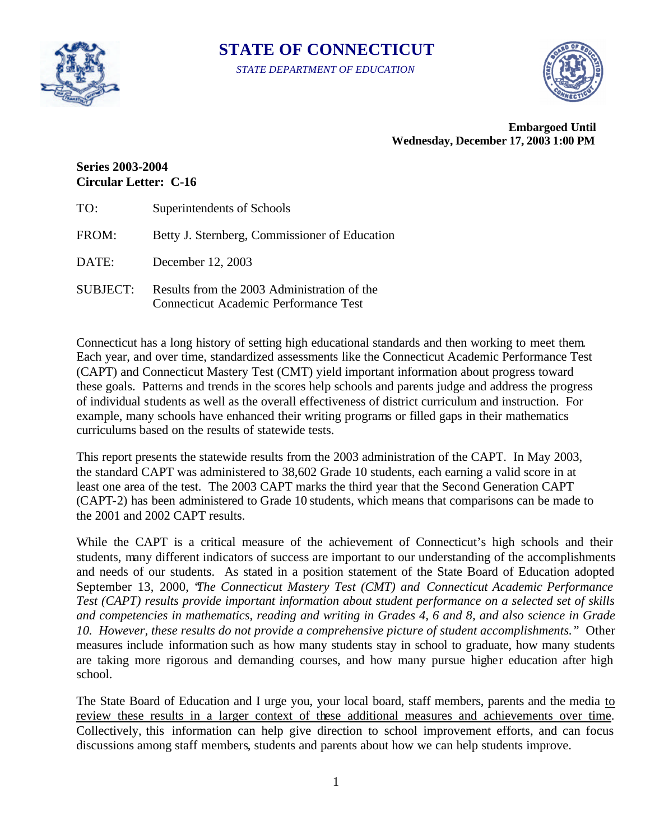

# **STATE OF CONNECTICUT**

*STATE DEPARTMENT OF EDUCATION* 



**Embargoed Until Wednesday, December 17, 2003 1:00 PM** 

## **Series 2003-2004 Circular Letter: C-16**

| TO:             | Superintendents of Schools                                                                  |
|-----------------|---------------------------------------------------------------------------------------------|
| FROM:           | Betty J. Sternberg, Commissioner of Education                                               |
| DATE:           | December 12, 2003                                                                           |
| <b>SUBJECT:</b> | Results from the 2003 Administration of the<br><b>Connecticut Academic Performance Test</b> |

Connecticut has a long history of setting high educational standards and then working to meet them. Each year, and over time, standardized assessments like the Connecticut Academic Performance Test (CAPT) and Connecticut Mastery Test (CMT) yield important information about progress toward these goals. Patterns and trends in the scores help schools and parents judge and address the progress of individual students as well as the overall effectiveness of district curriculum and instruction. For example, many schools have enhanced their writing programs or filled gaps in their mathematics curriculums based on the results of statewide tests.

This report presents the statewide results from the 2003 administration of the CAPT. In May 2003, the standard CAPT was administered to 38,602 Grade 10 students, each earning a valid score in at least one area of the test. The 2003 CAPT marks the third year that the Second Generation CAPT (CAPT-2) has been administered to Grade 10 students, which means that comparisons can be made to the 2001 and 2002 CAPT results.

While the CAPT is a critical measure of the achievement of Connecticut's high schools and their students, many different indicators of success are important to our understanding of the accomplishments and needs of our students. As stated in a position statement of the State Board of Education adopted September 13, 2000, "*The Connecticut Mastery Test (CMT) and Connecticut Academic Performance Test (CAPT) results provide important information about student performance on a selected set of skills and competencies in mathematics, reading and writing in Grades 4, 6 and 8, and also science in Grade 10. However, these results do not provide a comprehensive picture of student accomplishments."* Other measures include information such as how many students stay in school to graduate, how many students are taking more rigorous and demanding courses, and how many pursue higher education after high school.

The State Board of Education and I urge you, your local board, staff members, parents and the media to review these results in a larger context of these additional measures and achievements over time. Collectively, this information can help give direction to school improvement efforts, and can focus discussions among staff members, students and parents about how we can help students improve.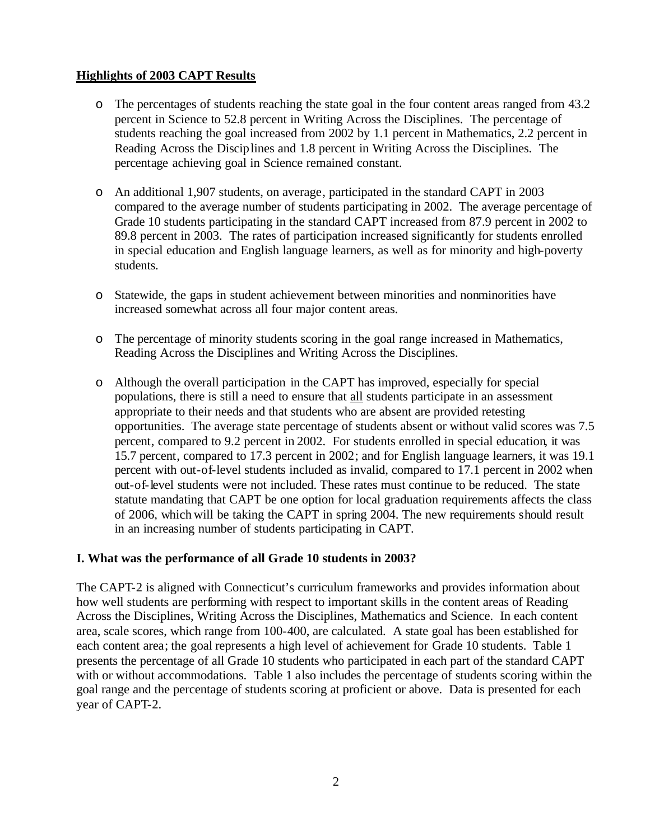## **Highlights of 2003 CAPT Results**

- o The percentages of students reaching the state goal in the four content areas ranged from 43.2 percent in Science to 52.8 percent in Writing Across the Disciplines. The percentage of students reaching the goal increased from 2002 by 1.1 percent in Mathematics, 2.2 percent in Reading Across the Discip lines and 1.8 percent in Writing Across the Disciplines. The percentage achieving goal in Science remained constant.
- o An additional 1,907 students, on average, participated in the standard CAPT in 2003 compared to the average number of students participating in 2002. The average percentage of Grade 10 students participating in the standard CAPT increased from 87.9 percent in 2002 to 89.8 percent in 2003. The rates of participation increased significantly for students enrolled in special education and English language learners, as well as for minority and high-poverty students.
- o Statewide, the gaps in student achievement between minorities and nonminorities have increased somewhat across all four major content areas.
- o The percentage of minority students scoring in the goal range increased in Mathematics, Reading Across the Disciplines and Writing Across the Disciplines.
- o Although the overall participation in the CAPT has improved, especially for special populations, there is still a need to ensure that all students participate in an assessment appropriate to their needs and that students who are absent are provided retesting opportunities. The average state percentage of students absent or without valid scores was 7.5 percent, compared to 9.2 percent in 2002. For students enrolled in special education, it was 15.7 percent, compared to 17.3 percent in 2002; and for English language learners, it was 19.1 percent with out-of-level students included as invalid, compared to 17.1 percent in 2002 when out-of-level students were not included. These rates must continue to be reduced. The state statute mandating that CAPT be one option for local graduation requirements affects the class of 2006, which will be taking the CAPT in spring 2004. The new requirements should result in an increasing number of students participating in CAPT.

#### **I. What was the performance of all Grade 10 students in 2003?**

The CAPT-2 is aligned with Connecticut's curriculum frameworks and provides information about how well students are performing with respect to important skills in the content areas of Reading Across the Disciplines, Writing Across the Disciplines, Mathematics and Science. In each content area, scale scores, which range from 100-400, are calculated. A state goal has been established for each content area; the goal represents a high level of achievement for Grade 10 students. Table 1 presents the percentage of all Grade 10 students who participated in each part of the standard CAPT with or without accommodations. Table 1 also includes the percentage of students scoring within the goal range and the percentage of students scoring at proficient or above. Data is presented for each year of CAPT-2.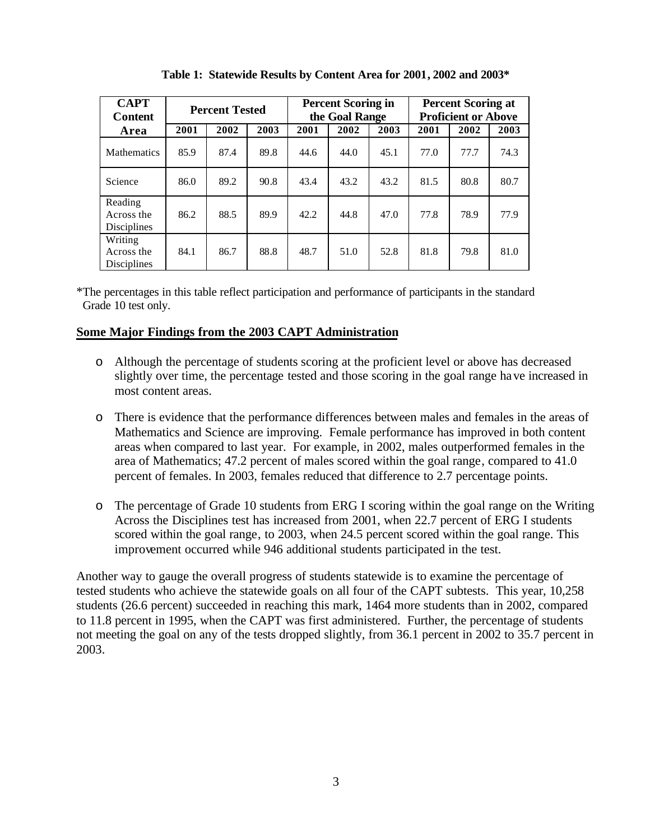| <b>CAPT</b><br><b>Content</b>               | <b>Percent Tested</b> |      |      | <b>Percent Scoring in</b><br>the Goal Range |      |      | <b>Percent Scoring at</b><br><b>Proficient or Above</b> |      |      |
|---------------------------------------------|-----------------------|------|------|---------------------------------------------|------|------|---------------------------------------------------------|------|------|
| Area                                        | 2001                  | 2002 | 2003 | 2001                                        | 2002 | 2003 | 2001                                                    | 2002 | 2003 |
| <b>Mathematics</b>                          | 85.9                  | 87.4 | 89.8 | 44.6                                        | 44.0 | 45.1 | 77.0                                                    | 77.7 | 74.3 |
| Science                                     | 86.0                  | 89.2 | 90.8 | 43.4                                        | 43.2 | 43.2 | 81.5                                                    | 80.8 | 80.7 |
| Reading<br>Across the<br><b>Disciplines</b> | 86.2                  | 88.5 | 89.9 | 42.2                                        | 44.8 | 47.0 | 77.8                                                    | 78.9 | 77.9 |
| Writing<br>Across the<br><b>Disciplines</b> | 84.1                  | 86.7 | 88.8 | 48.7                                        | 51.0 | 52.8 | 81.8                                                    | 79.8 | 81.0 |

**Table 1: Statewide Results by Content Area for 2001, 2002 and 2003\*** 

\*The percentages in this table reflect participation and performance of participants in the standard Grade 10 test only.

#### **Some Major Findings from the 2003 CAPT Administration**

- o Although the percentage of students scoring at the proficient level or above has decreased slightly over time, the percentage tested and those scoring in the goal range have increased in most content areas.
- o There is evidence that the performance differences between males and females in the areas of Mathematics and Science are improving. Female performance has improved in both content areas when compared to last year. For example, in 2002, males outperformed females in the area of Mathematics; 47.2 percent of males scored within the goal range, compared to 41.0 percent of females. In 2003, females reduced that difference to 2.7 percentage points.
- o The percentage of Grade 10 students from ERG I scoring within the goal range on the Writing Across the Disciplines test has increased from 2001, when 22.7 percent of ERG I students scored within the goal range, to 2003, when 24.5 percent scored within the goal range. This improvement occurred while 946 additional students participated in the test.

Another way to gauge the overall progress of students statewide is to examine the percentage of tested students who achieve the statewide goals on all four of the CAPT subtests. This year, 10,258 students (26.6 percent) succeeded in reaching this mark, 1464 more students than in 2002, compared to 11.8 percent in 1995, when the CAPT was first administered. Further, the percentage of students not meeting the goal on any of the tests dropped slightly, from 36.1 percent in 2002 to 35.7 percent in 2003.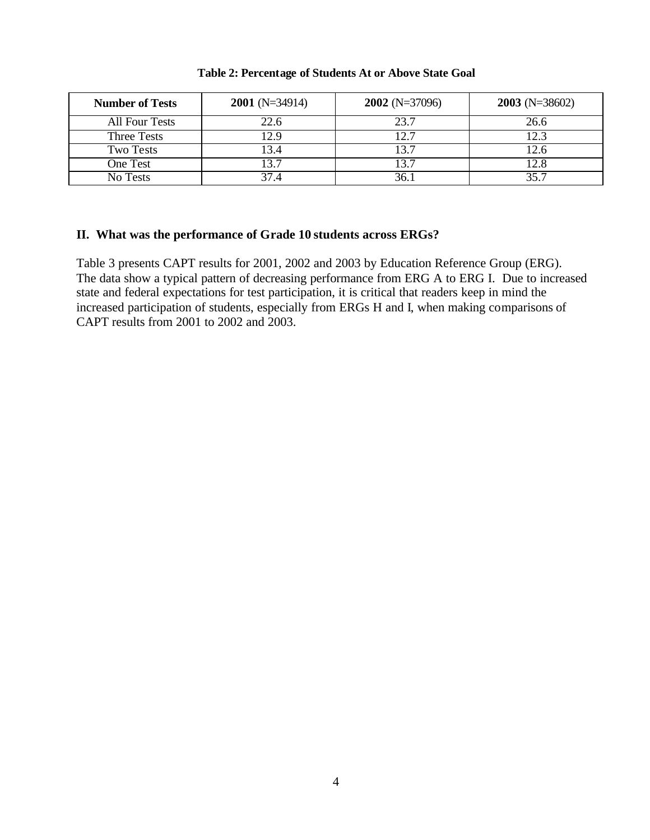| <b>Number of Tests</b> | $2001$ (N=34914) | $2002$ (N=37096) | $2003$ (N=38602) |
|------------------------|------------------|------------------|------------------|
| All Four Tests         | 22.6             | 23.7             | 26.6             |
| Three Tests            | 12.9             | 12.7             | 12 <sup>2</sup>  |
| <b>Two Tests</b>       | 13.4             | 13.7             | l 2.6            |
| One Test               | 13.7             | 13.7             | 12.8             |
| No Tests               | 37.4             | 36.              | 35.7             |

#### **Table 2: Percentage of Students At or Above State Goal**

#### **II. What was the performance of Grade 10 students across ERGs?**

Table 3 presents CAPT results for 2001, 2002 and 2003 by Education Reference Group (ERG). The data show a typical pattern of decreasing performance from ERG A to ERG I. Due to increased state and federal expectations for test participation, it is critical that readers keep in mind the increased participation of students, especially from ERGs H and I, when making comparisons of CAPT results from 2001 to 2002 and 2003.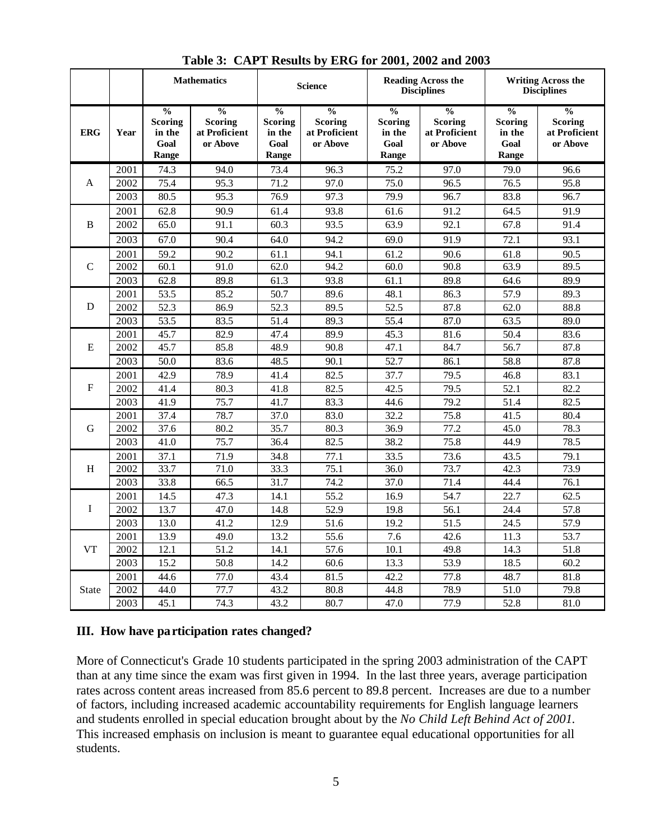|              |      |                                                            | <b>Mathematics</b>                                           |                                                            | <b>Science</b>                                               | <b>Reading Across the</b><br><b>Disciplines</b>            |                                                              | <b>Writing Across the</b><br><b>Disciplines</b>            |                                                              |
|--------------|------|------------------------------------------------------------|--------------------------------------------------------------|------------------------------------------------------------|--------------------------------------------------------------|------------------------------------------------------------|--------------------------------------------------------------|------------------------------------------------------------|--------------------------------------------------------------|
| <b>ERG</b>   | Year | $\frac{0}{0}$<br><b>Scoring</b><br>in the<br>Goal<br>Range | $\frac{0}{0}$<br><b>Scoring</b><br>at Proficient<br>or Above | $\frac{0}{0}$<br><b>Scoring</b><br>in the<br>Goal<br>Range | $\frac{0}{0}$<br><b>Scoring</b><br>at Proficient<br>or Above | $\frac{0}{0}$<br><b>Scoring</b><br>in the<br>Goal<br>Range | $\frac{0}{0}$<br><b>Scoring</b><br>at Proficient<br>or Above | $\frac{0}{0}$<br><b>Scoring</b><br>in the<br>Goal<br>Range | $\frac{0}{0}$<br><b>Scoring</b><br>at Proficient<br>or Above |
|              | 2001 | 74.3                                                       | 94.0                                                         | 73.4                                                       | 96.3                                                         | 75.2                                                       | 97.0                                                         | 79.0                                                       | 96.6                                                         |
| $\mathsf{A}$ | 2002 | 75.4                                                       | 95.3                                                         | 71.2                                                       | 97.0                                                         | 75.0                                                       | 96.5                                                         | 76.5                                                       | 95.8                                                         |
|              | 2003 | 80.5                                                       | 95.3                                                         | 76.9                                                       | 97.3                                                         | 79.9                                                       | 96.7                                                         | 83.8                                                       | 96.7                                                         |
|              | 2001 | 62.8                                                       | 90.9                                                         | 61.4                                                       | 93.8                                                         | 61.6                                                       | 91.2                                                         | 64.5                                                       | 91.9                                                         |
| B            | 2002 | 65.0                                                       | 91.1                                                         | 60.3                                                       | 93.5                                                         | 63.9                                                       | 92.1                                                         | 67.8                                                       | 91.4                                                         |
|              | 2003 | 67.0                                                       | 90.4                                                         | 64.0                                                       | 94.2                                                         | 69.0                                                       | 91.9                                                         | 72.1                                                       | 93.1                                                         |
|              | 2001 | 59.2                                                       | 90.2                                                         | 61.1                                                       | 94.1                                                         | 61.2                                                       | 90.6                                                         | 61.8                                                       | 90.5                                                         |
| $\mathsf{C}$ | 2002 | 60.1                                                       | 91.0                                                         | 62.0                                                       | 94.2                                                         | 60.0                                                       | 90.8                                                         | 63.9                                                       | 89.5                                                         |
|              | 2003 | 62.8                                                       | 89.8                                                         | 61.3                                                       | 93.8                                                         | 61.1                                                       | 89.8                                                         | 64.6                                                       | 89.9                                                         |
|              | 2001 | 53.5                                                       | 85.2                                                         | 50.7                                                       | 89.6                                                         | 48.1                                                       | 86.3                                                         | 57.9                                                       | 89.3                                                         |
| D            | 2002 | 52.3                                                       | 86.9                                                         | 52.3                                                       | 89.5                                                         | 52.5                                                       | 87.8                                                         | 62.0                                                       | 88.8                                                         |
|              | 2003 | 53.5                                                       | 83.5                                                         | 51.4                                                       | 89.3                                                         | 55.4                                                       | 87.0                                                         | 63.5                                                       | 89.0                                                         |
|              | 2001 | 45.7                                                       | 82.9                                                         | 47.4                                                       | 89.9                                                         | 45.3                                                       | 81.6                                                         | 50.4                                                       | 83.6                                                         |
| E            | 2002 | 45.7                                                       | 85.8                                                         | 48.9                                                       | 90.8                                                         | 47.1                                                       | 84.7                                                         | 56.7                                                       | 87.8                                                         |
|              | 2003 | 50.0                                                       | 83.6                                                         | 48.5                                                       | 90.1                                                         | 52.7                                                       | 86.1                                                         | 58.8                                                       | 87.8                                                         |
|              | 2001 | 42.9                                                       | 78.9                                                         | 41.4                                                       | 82.5                                                         | 37.7                                                       | 79.5                                                         | 46.8                                                       | 83.1                                                         |
| F            | 2002 | 41.4                                                       | 80.3                                                         | 41.8                                                       | 82.5                                                         | 42.5                                                       | 79.5                                                         | 52.1                                                       | 82.2                                                         |
|              | 2003 | 41.9                                                       | 75.7                                                         | 41.7                                                       | 83.3                                                         | 44.6                                                       | 79.2                                                         | 51.4                                                       | 82.5                                                         |
|              | 2001 | 37.4                                                       | 78.7                                                         | 37.0                                                       | 83.0                                                         | 32.2                                                       | 75.8                                                         | 41.5                                                       | 80.4                                                         |
| G            | 2002 | 37.6                                                       | 80.2                                                         | 35.7                                                       | 80.3                                                         | 36.9                                                       | 77.2                                                         | 45.0                                                       | 78.3                                                         |
|              | 2003 | 41.0                                                       | 75.7                                                         | 36.4                                                       | 82.5                                                         | 38.2                                                       | 75.8                                                         | 44.9                                                       | 78.5                                                         |
|              | 2001 | 37.1                                                       | 71.9                                                         | 34.8                                                       | 77.1                                                         | 33.5                                                       | 73.6                                                         | 43.5                                                       | 79.1                                                         |
| H            | 2002 | 33.7                                                       | 71.0                                                         | 33.3                                                       | 75.1                                                         | 36.0                                                       | 73.7                                                         | 42.3                                                       | 73.9                                                         |
|              | 2003 | 33.8                                                       | 66.5                                                         | 31.7                                                       | 74.2                                                         | 37.0                                                       | 71.4                                                         | 44.4                                                       | 76.1                                                         |
|              | 2001 | 14.5                                                       | 47.3                                                         | 14.1                                                       | 55.2                                                         | 16.9                                                       | 54.7                                                         | 22.7                                                       | 62.5                                                         |
| I            | 2002 | 13.7                                                       | 47.0                                                         | 14.8                                                       | 52.9                                                         | 19.8                                                       | 56.1                                                         | 24.4                                                       | 57.8                                                         |
|              | 2003 | 13.0                                                       | 41.2                                                         | 12.9                                                       | 51.6                                                         | 19.2                                                       | 51.5                                                         | 24.5                                                       | 57.9                                                         |
|              | 2001 | 13.9                                                       | 49.0                                                         | 13.2                                                       | 55.6                                                         | 7.6                                                        | 42.6                                                         | 11.3                                                       | 53.7                                                         |
| <b>VT</b>    | 2002 | 12.1                                                       | $\overline{51.2}$                                            | 14.1                                                       | 57.6                                                         | 10.1                                                       | 49.8                                                         | 14.3                                                       | 51.8                                                         |
|              | 2003 | 15.2                                                       | 50.8                                                         | 14.2                                                       | 60.6                                                         | 13.3                                                       | 53.9                                                         | 18.5                                                       | 60.2                                                         |
|              | 2001 | 44.6                                                       | 77.0                                                         | 43.4                                                       | 81.5                                                         | 42.2                                                       | 77.8                                                         | 48.7                                                       | 81.8                                                         |
| <b>State</b> | 2002 | 44.0                                                       | 77.7                                                         | 43.2                                                       | 80.8                                                         | 44.8                                                       | 78.9                                                         | 51.0                                                       | 79.8                                                         |
|              | 2003 | 45.1                                                       | 74.3                                                         | 43.2                                                       | 80.7                                                         | 47.0                                                       | 77.9                                                         | 52.8                                                       | 81.0                                                         |

**Table 3: CAPT Results by ERG for 2001, 2002 and 2003**

#### **III. How have participation rates changed?**

More of Connecticut's Grade 10 students participated in the spring 2003 administration of the CAPT than at any time since the exam was first given in 1994. In the last three years, average participation rates across content areas increased from 85.6 percent to 89.8 percent. Increases are due to a number of factors, including increased academic accountability requirements for English language learners and students enrolled in special education brought about by the *No Child Left Behind Act of 2001.* This increased emphasis on inclusion is meant to guarantee equal educational opportunities for all students.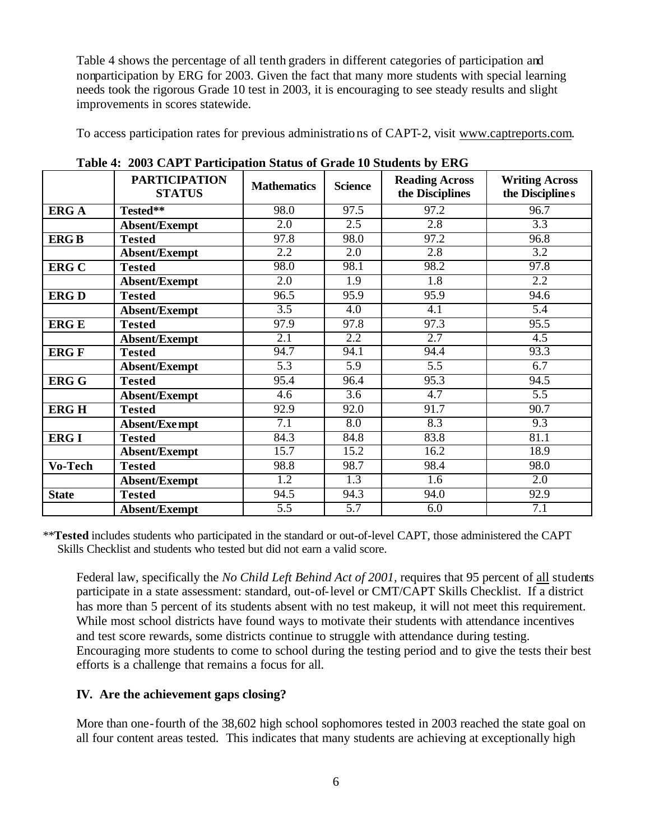Table 4 shows the percentage of all tenth graders in different categories of participation and nonparticipation by ERG for 2003. Given the fact that many more students with special learning needs took the rigorous Grade 10 test in 2003, it is encouraging to see steady results and slight improvements in scores statewide.

To access participation rates for previous administrations of CAPT-2, visit www.captreports.com.

|                                | <b>PARTICIPATION</b><br><b>STATUS</b> | <b>Mathematics</b> | <b>Science</b>   | <b>Reading Across</b><br>the Disciplines | <b>Writing Across</b><br>the Disciplines |
|--------------------------------|---------------------------------------|--------------------|------------------|------------------------------------------|------------------------------------------|
| <b>ERGA</b>                    | Tested**                              | 98.0               | 97.5             | 97.2                                     | 96.7                                     |
|                                | Absent/Exempt                         | 2.0                | 2.5              | 2.8                                      | 3.3                                      |
| <b>ERGB</b>                    | <b>Tested</b>                         | 97.8               | 98.0             | 97.2                                     | 96.8                                     |
|                                | Absent/Exempt                         | 2.2                | 2.0              | $\overline{2.8}$                         | $\overline{3.2}$                         |
| <b>ERG C</b>                   | <b>Tested</b>                         | 98.0               | 98.1             | 98.2                                     | 97.8                                     |
|                                | Absent/Exempt                         | $\overline{2.0}$   | 1.9              | $\overline{1.8}$                         | $\overline{2.2}$                         |
| <b>ERGD</b>                    | <b>Tested</b>                         | 96.5               | 95.9             | 95.9                                     | 94.6                                     |
|                                | Absent/Exempt                         | $\overline{3.5}$   | 4.0              | 4.1                                      | $\overline{5.4}$                         |
| <b>ERGE</b>                    | <b>Tested</b>                         | 97.9               | 97.8             | 97.3                                     | 95.5                                     |
|                                | Absent/Exempt                         | $\overline{2.1}$   | $\overline{2.2}$ | 2.7                                      | $\overline{4.5}$                         |
| <b>ERG F</b>                   | <b>Tested</b>                         | 94.7               | 94.1             | 94.4                                     | 93.3                                     |
|                                | Absent/Exempt                         | $\overline{5.3}$   | $\overline{5.9}$ | $\overline{5.5}$                         | 6.7                                      |
| <b>ERG G</b>                   | <b>Tested</b>                         | 95.4               | 96.4             | 95.3                                     | 94.5                                     |
|                                | Absent/Exempt                         | 4.6                | 3.6              | 4.7                                      | 5.5                                      |
| <b>ERGH</b>                    | <b>Tested</b>                         | 92.9               | 92.0             | 91.7                                     | 90.7                                     |
|                                | Absent/Exempt                         | 7.1                | 8.0              | 8.3                                      | 9.3                                      |
| <b>ERG I</b>                   | <b>Tested</b>                         | 84.3               | 84.8             | 83.8                                     | 81.1                                     |
|                                | Absent/Exempt                         | 15.7               | 15.2             | 16.2                                     | 18.9                                     |
| $\overline{\textbf{V}}$ o-Tech | <b>Tested</b>                         | 98.8               | 98.7             | 98.4                                     | 98.0                                     |
|                                | Absent/Exempt                         | $\overline{1.2}$   | $\overline{1.3}$ | $\overline{1.6}$                         | $\overline{2.0}$                         |
| <b>State</b>                   | <b>Tested</b>                         | 94.5               | 94.3             | 94.0                                     | 92.9                                     |
|                                | Absent/Exempt                         | $\overline{5.5}$   | $\overline{5.7}$ | 6.0                                      | $\overline{7.1}$                         |

**Table 4: 2003 CAPT Participation Status of Grade 10 Students by ERG** 

\*\***Tested** includes students who participated in the standard or out-of-level CAPT, those administered the CAPT Skills Checklist and students who tested but did not earn a valid score.

Federal law, specifically the *No Child Left Behind Act of 2001,* requires that 95 percent of all students participate in a state assessment: standard, out-of-level or CMT/CAPT Skills Checklist. If a district has more than 5 percent of its students absent with no test makeup, it will not meet this requirement. While most school districts have found ways to motivate their students with attendance incentives and test score rewards, some districts continue to struggle with attendance during testing. Encouraging more students to come to school during the testing period and to give the tests their best efforts is a challenge that remains a focus for all.

## **IV. Are the achievement gaps closing?**

More than one-fourth of the 38,602 high school sophomores tested in 2003 reached the state goal on all four content areas tested. This indicates that many students are achieving at exceptionally high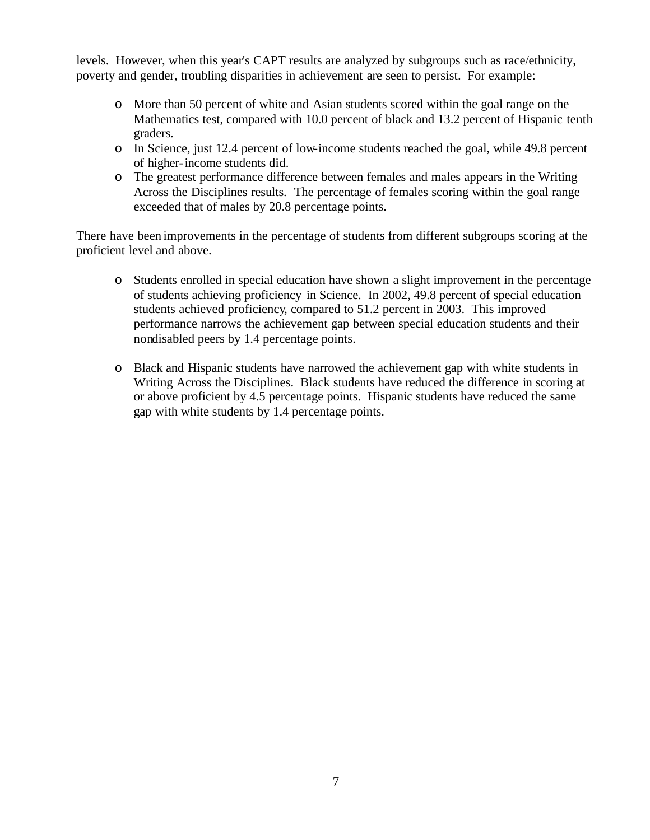levels. However, when this year's CAPT results are analyzed by subgroups such as race/ethnicity, poverty and gender, troubling disparities in achievement are seen to persist. For example:

- o More than 50 percent of white and Asian students scored within the goal range on the Mathematics test, compared with 10.0 percent of black and 13.2 percent of Hispanic tenth graders.
- o In Science, just 12.4 percent of low-income students reached the goal, while 49.8 percent of higher-income students did.
- o The greatest performance difference between females and males appears in the Writing Across the Disciplines results. The percentage of females scoring within the goal range exceeded that of males by 20.8 percentage points.

There have been improvements in the percentage of students from different subgroups scoring at the proficient level and above.

- o Students enrolled in special education have shown a slight improvement in the percentage of students achieving proficiency in Science. In 2002, 49.8 percent of special education students achieved proficiency, compared to 51.2 percent in 2003. This improved performance narrows the achievement gap between special education students and their nondisabled peers by 1.4 percentage points.
- o Black and Hispanic students have narrowed the achievement gap with white students in Writing Across the Disciplines. Black students have reduced the difference in scoring at or above proficient by 4.5 percentage points. Hispanic students have reduced the same gap with white students by 1.4 percentage points.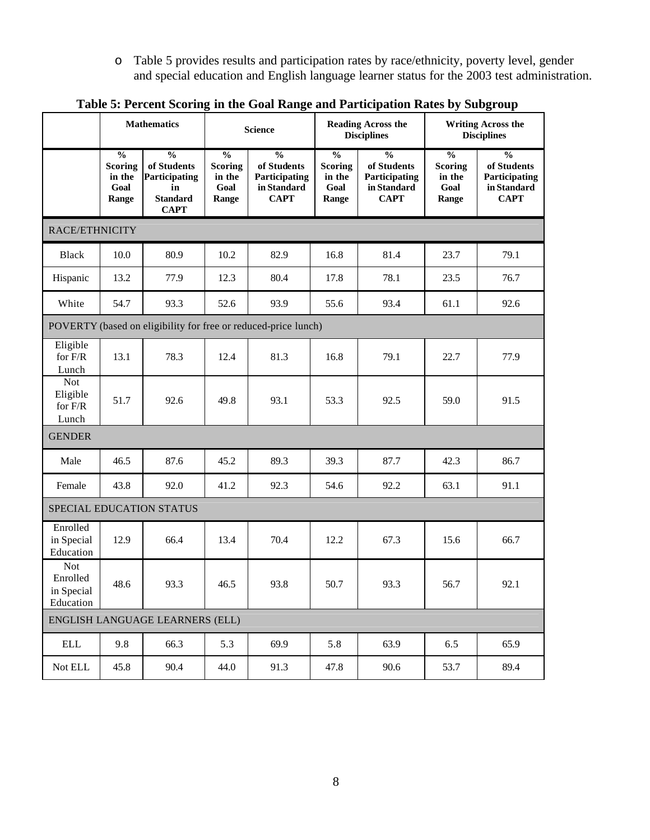o Table 5 provides results and participation rates by race/ethnicity, poverty level, gender and special education and English language learner status for the 2003 test administration.

|                                                   | <b>Mathematics</b>                                             |                                                                                       | <b>Science</b>                                                        |                                                                             | <b>Reading Across the</b><br><b>Disciplines</b>                       |                                                                             | <b>Writing Across the</b><br><b>Disciplines</b>                       |                                                                             |  |  |  |
|---------------------------------------------------|----------------------------------------------------------------|---------------------------------------------------------------------------------------|-----------------------------------------------------------------------|-----------------------------------------------------------------------------|-----------------------------------------------------------------------|-----------------------------------------------------------------------------|-----------------------------------------------------------------------|-----------------------------------------------------------------------------|--|--|--|
|                                                   | $\overline{\frac{0}{0}}$<br>Scoring<br>in the<br>Goal<br>Range | $\frac{0}{0}$<br>of Students<br>Participating<br>in<br><b>Standard</b><br><b>CAPT</b> | $\overline{\frac{0}{0}}$<br><b>Scoring</b><br>in the<br>Goal<br>Range | $\frac{0}{0}$<br>of Students<br>Participating<br>in Standard<br><b>CAPT</b> | $\overline{\frac{0}{0}}$<br><b>Scoring</b><br>in the<br>Goal<br>Range | $\frac{0}{0}$<br>of Students<br>Participating<br>in Standard<br><b>CAPT</b> | $\overline{\frac{0}{0}}$<br><b>Scoring</b><br>in the<br>Goal<br>Range | $\frac{0}{0}$<br>of Students<br>Participating<br>in Standard<br><b>CAPT</b> |  |  |  |
| RACE/ETHNICITY                                    |                                                                |                                                                                       |                                                                       |                                                                             |                                                                       |                                                                             |                                                                       |                                                                             |  |  |  |
| <b>Black</b>                                      | 10.0                                                           | 80.9                                                                                  | 10.2                                                                  | 82.9                                                                        | 16.8                                                                  | 81.4                                                                        | 23.7                                                                  | 79.1                                                                        |  |  |  |
| Hispanic                                          | 13.2                                                           | 77.9                                                                                  | 12.3                                                                  | 80.4                                                                        | 17.8                                                                  | 78.1                                                                        | 23.5                                                                  | 76.7                                                                        |  |  |  |
| White                                             | 54.7                                                           | 93.3                                                                                  | 52.6                                                                  | 93.9                                                                        | 55.6                                                                  | 93.4                                                                        | 61.1                                                                  | 92.6                                                                        |  |  |  |
|                                                   | POVERTY (based on eligibility for free or reduced-price lunch) |                                                                                       |                                                                       |                                                                             |                                                                       |                                                                             |                                                                       |                                                                             |  |  |  |
| Eligible<br>for $F/R$<br>Lunch                    | 13.1                                                           | 78.3                                                                                  | 12.4                                                                  | 81.3                                                                        | 16.8                                                                  | 79.1                                                                        | 22.7                                                                  | 77.9                                                                        |  |  |  |
| <b>Not</b><br>Eligible<br>for $F/R$<br>Lunch      | 51.7                                                           | 92.6                                                                                  | 49.8                                                                  | 93.1                                                                        | 53.3                                                                  | 92.5                                                                        | 59.0                                                                  | 91.5                                                                        |  |  |  |
| <b>GENDER</b>                                     |                                                                |                                                                                       |                                                                       |                                                                             |                                                                       |                                                                             |                                                                       |                                                                             |  |  |  |
| Male                                              | 46.5                                                           | 87.6                                                                                  | 45.2                                                                  | 89.3                                                                        | 39.3                                                                  | 87.7                                                                        | 42.3                                                                  | 86.7                                                                        |  |  |  |
| Female                                            | 43.8                                                           | 92.0                                                                                  | 41.2                                                                  | 92.3                                                                        | 54.6                                                                  | 92.2                                                                        | 63.1                                                                  | 91.1                                                                        |  |  |  |
|                                                   |                                                                | SPECIAL EDUCATION STATUS                                                              |                                                                       |                                                                             |                                                                       |                                                                             |                                                                       |                                                                             |  |  |  |
| Enrolled<br>in Special<br>Education               | 12.9                                                           | 66.4                                                                                  | 13.4                                                                  | 70.4                                                                        | 12.2                                                                  | 67.3                                                                        | 15.6                                                                  | 66.7                                                                        |  |  |  |
| <b>Not</b><br>Enrolled<br>in Special<br>Education | 48.6                                                           | 93.3                                                                                  | 46.5                                                                  | 93.8                                                                        | 50.7                                                                  | 93.3                                                                        | 56.7                                                                  | 92.1                                                                        |  |  |  |
| ENGLISH LANGUAGE LEARNERS (ELL)                   |                                                                |                                                                                       |                                                                       |                                                                             |                                                                       |                                                                             |                                                                       |                                                                             |  |  |  |
| $\operatorname{ELL}$                              | 9.8                                                            | 66.3                                                                                  | 5.3                                                                   | 69.9                                                                        | 5.8                                                                   | 63.9                                                                        | 6.5                                                                   | 65.9                                                                        |  |  |  |
| Not ELL                                           | 45.8                                                           | 90.4                                                                                  | 44.0                                                                  | 91.3                                                                        | 47.8                                                                  | 90.6                                                                        | 53.7                                                                  | 89.4                                                                        |  |  |  |

**Table 5: Percent Scoring in the Goal Range and Participation Rates by Subgroup**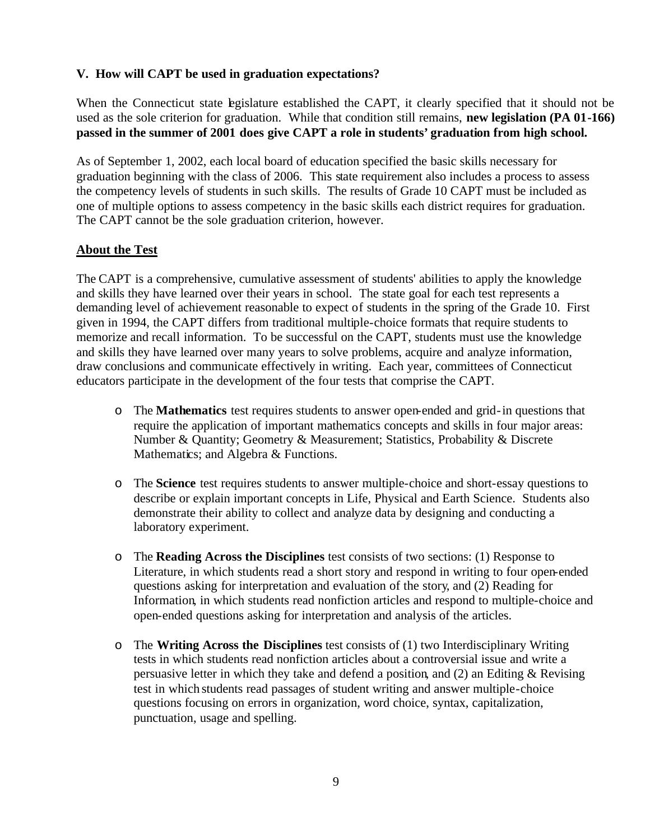## **V. How will CAPT be used in graduation expectations?**

When the Connecticut state legislature established the CAPT, it clearly specified that it should not be used as the sole criterion for graduation. While that condition still remains, **new legislation (PA 01-166) passed in the summer of 2001 does give CAPT a role in students' graduation from high school.** 

As of September 1, 2002, each local board of education specified the basic skills necessary for graduation beginning with the class of 2006. This state requirement also includes a process to assess the competency levels of students in such skills. The results of Grade 10 CAPT must be included as one of multiple options to assess competency in the basic skills each district requires for graduation. The CAPT cannot be the sole graduation criterion, however.

## **About the Test**

The CAPT is a comprehensive, cumulative assessment of students' abilities to apply the knowledge and skills they have learned over their years in school. The state goal for each test represents a demanding level of achievement reasonable to expect of students in the spring of the Grade 10. First given in 1994, the CAPT differs from traditional multiple-choice formats that require students to memorize and recall information. To be successful on the CAPT, students must use the knowledge and skills they have learned over many years to solve problems, acquire and analyze information, draw conclusions and communicate effectively in writing. Each year, committees of Connecticut educators participate in the development of the four tests that comprise the CAPT.

- o The **Mathematics** test requires students to answer open-ended and grid-in questions that require the application of important mathematics concepts and skills in four major areas: Number & Quantity; Geometry & Measurement; Statistics, Probability & Discrete Mathematics; and Algebra & Functions.
- o The **Science** test requires students to answer multiple-choice and short-essay questions to describe or explain important concepts in Life, Physical and Earth Science. Students also demonstrate their ability to collect and analyze data by designing and conducting a laboratory experiment.
- o The **Reading Across the Disciplines** test consists of two sections: (1) Response to Literature, in which students read a short story and respond in writing to four open-ended questions asking for interpretation and evaluation of the story, and (2) Reading for Information, in which students read nonfiction articles and respond to multiple-choice and open-ended questions asking for interpretation and analysis of the articles.
- o The **Writing Across the Disciplines** test consists of (1) two Interdisciplinary Writing tests in which students read nonfiction articles about a controversial issue and write a persuasive letter in which they take and defend a position, and (2) an Editing & Revising test in which students read passages of student writing and answer multiple-choice questions focusing on errors in organization, word choice, syntax, capitalization, punctuation, usage and spelling.